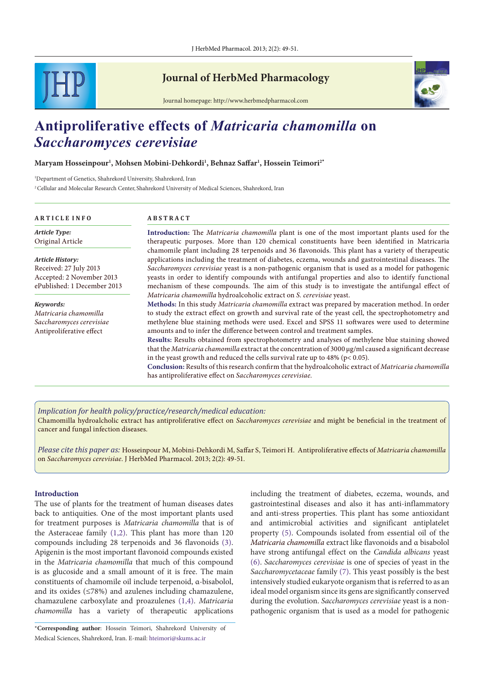

## **Journal of HerbMed Pharmacology**



Journal homepage: http://www.herbmedpharmacol.com

# **Antiproliferative effects of** *Matricaria chamomilla* **on**  *Saccharomyces cerevisiae*

#### **Maryam Hosseinpour1 , Mohsen Mobini-Dehkordi1 , Behnaz Saffar1 , Hossein Teimori2\***

1 Department of Genetics, Shahrekord University, Shahrekord, Iran 2 Cellular and Molecular Research Center, Shahrekord University of Medical Sciences, Shahrekord, Iran

#### **A R T I C L E I N F O A B S T R A C T**

*Article Type:* Original Article

*Article History:* Received: 27 July 2013 Accepted: 2 November 2013 ePublished: 1 December 2013

*Keywords: Matricaria chamomilla Saccharomyces cerevisiae* Antiproliferative effect

**Introduction:** The *Matricaria chamomilla* plant is one of the most important plants used for the therapeutic purposes. More than 120 chemical constituents have been identified in Matricaria chamomile plant including 28 terpenoids and 36 flavonoids. This plant has a variety of therapeutic applications including the treatment of diabetes, eczema, wounds and gastrointestinal diseases. The *Saccharomyces cerevisiae* yeast is a non-pathogenic organism that is used as a model for pathogenic yeasts in order to identify compounds with antifungal properties and also to identify functional mechanism of these compounds. The aim of this study is to investigate the antifungal effect of *Matricaria chamomilla* hydroalcoholic extract on *S. cerevisiae* yeast.

**Methods:** In this study *Matricaria chamomilla* extract was prepared by maceration method. In order to study the extract effect on growth and survival rate of the yeast cell, the spectrophotometry and methylene blue staining methods were used. Excel and SPSS 11 softwares were used to determine amounts and to infer the difference between control and treatment samples.

**Results:** Results obtained from spectrophotometry and analyses of methylene blue staining showed that the *Matricaria chamomilla* extract at the concentration of 3000 μg/ml caused a significant decrease in the yeast growth and reduced the cells survival rate up to  $48\%$  (p< 0.05).

**Conclusion:** Results of this research confirm that the hydroalcoholic extract of *Matricaria chamomilla*  has antiproliferative effect on *Saccharomyces cerevisiae.*

#### *Implication for health policy/practice/research/medical education:*

Chamomilla hydroalcholic extract has antiproliferative effect on *Saccharomyces cerevisiae* and might be beneficial in the treatment of cancer and fungal infection diseases.

*Please cite this paper as:* Hosseinpour M, Mobini-Dehkordi M, Saffar S, Teimori H. Antiproliferative effects of *Matricaria chamomilla*  on *Saccharomyces cerevisiae*. J HerbMed Pharmacol. 2013; 2(2): 49-51.

#### **Introduction**

The use of plants for the treatment of human diseases dates back to antiquities*.* One of the most important plants used for treatment purposes is *Matricaria chamomilla* that is of the Asteraceae family [\(1](#page-2-0)[,2](#page-2-1)). This plant has more than 120 compounds including 28 terpenoids and 36 flavonoids [\(3](#page-2-2)). Apigenin is the most important flavonoid compounds existed in the *Matricaria chamomilla* that much of this compound is as glucoside and a small amount of it is free. The main constituents of chamomile oil include terpenoid, α*-*bisabolol, and its oxides (≤78%) and azulenes including chamazulene, chamazulene carboxylate and proazulenes [\(1,](#page-2-0)[4\)](#page-2-3). *Matricaria chamomilla* has a variety of therapeutic applications

including the treatment of diabetes, eczema, wounds, and gastrointestinal diseases and also it has anti-inflammatory and anti-stress properties. This plant has some antioxidant and antimicrobial activities and significant antiplatelet property [\(5](#page-2-4)). Compounds isolated from essential oil of the *Matricaria chamomilla* extract like flavonoids and α bisabolol have strong antifungal effect on the *Candida albicans* yeast ([6\)](#page-2-5). *[Saccharomyces](http://www.ncbi.nlm.nih.gov/mesh/68012441) cerevisiae* is one of species of yeast in the *Saccharomycetaceae* family [\(7\)](#page-2-6). This yeast possibly is the best intensively studied eukaryote organism that is referred to as an ideal model organism since its gens are significantly conserved during the evolution. *[Saccharomyces](http://www.ncbi.nlm.nih.gov/mesh/68012441) cerevisiae* yeast is a nonpathogenic organism that is used as a model for pathogenic

<sup>\*</sup>**Corresponding author**: Hossein Teimori, Shahrekord University of Medical Sciences, Shahrekord, Iran. E-mail: hteimori@skums.ac.ir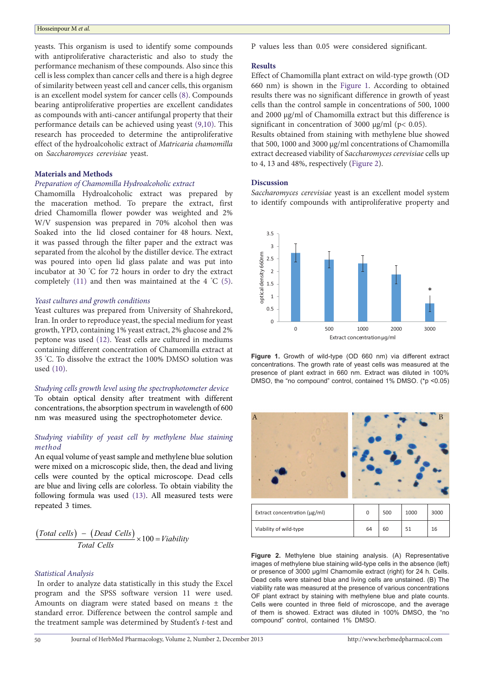#### Hosseinpour M *et al.*

yeasts. This organism is used to identify some compounds with antiproliferative characteristic and also to study the performance mechanism of these compounds. Also since this cell is less complex than cancer cells and there is a high degree of similarity between yeast cell and cancer cells, this organism is an excellent model system for cancer cells ([8](#page-2-7)). Compounds bearing antiproliferative properties are excellent candidates as compounds with anti-cancer antifungal property that their performance details can be achieved using yeast [\(9](#page-2-8)[,10\)](#page-2-9). This research has proceeded to determine the antiproliferative effect of the hydroalcoholic extract of *Matricaria chamomilla*  on *[Saccharomyces](http://www.ncbi.nlm.nih.gov/mesh/68012441) cerevisiae* yeast.

#### **Materials and Methods**

#### *Preparation of Chamomilla Hydroalcoholic extract*

Chamomilla Hydroalcoholic extract was prepared by the maceration method. To prepare the extract, first dried Chamomilla flower powder was weighted and 2% W/V suspension was prepared in 70% alcohol then was Soaked into the lid closed container for 48 hours. Next, it was passed through the filter paper and the extract was separated from the alcohol by the distiller device. The extract was poured into open lid glass palate and was put into incubator at 30 ° C for 72 hours in order to dry the extract completely  $(11)$  $(11)$  $(11)$  and then was maintained at the 4 °C  $(5)$  $(5)$ .

#### *Yeast cultures and growth conditions*

Yeast cultures was prepared from University of Shahrekord, Iran. In order to reproduce yeast, the special medium for yeast growth, YPD, containing 1% yeast extract, 2% glucose and 2% peptone was used ([12\)](#page-2-11). Yeast cells are cultured in mediums containing different concentration of Chamomilla extract at 35 ° C. To dissolve the extract the 100% DMSO solution was used ([10](#page-2-9)).

#### *Studying cells growth level using the spectrophotometer device* To obtain optical density after treatment with different

concentrations, the absorption spectrum in wavelength of 600 nm was measured using the spectrophotometer device.

#### *Studying viability of yeast cell by methylene blue staining method*

An equal volume of yeast sample and methylene blue solution were mixed on a microscopic slide, then, the dead and living cells were counted by the optical microscope. Dead cells are blue and living cells are colorless. To obtain viability the following formula was used [\(13\)](#page-2-12). All measured tests were repeated 3 times.

$$
\frac{(Total cells) - (Dead Cells)}{Total Cells} \times 100 = Viability
$$

#### *Statistical Analysis*

 In order to analyze data statistically in this study the Excel program and the SPSS software version 11 were used. Amounts on diagram were stated based on means ± the standard error. Difference between the control sample and the treatment sample was determined by Student's *t-*test and

P values less than 0.05 were considered significant.

#### **Results**

Effect of Chamomilla plant extract on wild-type growth (OD 660 nm) is shown in the [Figure 1](#page-1-0). According to obtained results there was no significant difference in growth of yeast cells than the control sample in concentrations of 500, 1000 and 2000 µg/ml of Chamomilla extract but this difference is significant in concentration of 3000  $\mu$ g/ml (p< 0.05).

Results obtained from staining with methylene blue showed that 500, 1000 and 3000 μg/ml concentrations of Chamomilla extract decreased viability of *Saccharomyces cerevisiae* cells up to 4, 13 and 48%, respectively ([Figure 2\)](#page-1-1).

#### **Discussion**

 $\overline{A}$ 

*Saccharomyces cerevisiae* yeast is an excellent model system to identify compounds with antiproliferative property and

<span id="page-1-0"></span>

**Figure 1.** Growth of wild-type (OD 660 nm) via different extract concentrations. The growth rate of yeast cells was measured at the presence of plant extract in 660 nm. Extract was diluted in 100% DMSO, the "no compound" control, contained 1% DMSO. (\*p <0.05)

<span id="page-1-1"></span>Extract concentration (μg/ml)  $\begin{array}{|c|c|c|c|c|c|c|c|c|} \hline \end{array}$  0  $\begin{array}{|c|c|c|c|c|c|c|c|} \hline \end{array}$  500  $\begin{array}{|c|c|c|c|c|c|} \hline \end{array}$  3000 Viability of wild-type 64 60 51 16

**Figure 2.** Methylene blue staining analysis. (A) Representative images of methylene blue staining wild-type cells in the absence (left) or presence of 3000 μg/ml Chamomile extract (right) for 24 h. Cells. Dead cells were stained blue and living cells are unstained. (B) The viability rate was measured at the presence of various concentrations OF plant extract by staining with methylene blue and plate counts. Cells were counted in three field of microscope, and the average of them is showed. Extract was diluted in 100% DMSO, the "no compound" control, contained 1% DMSO.